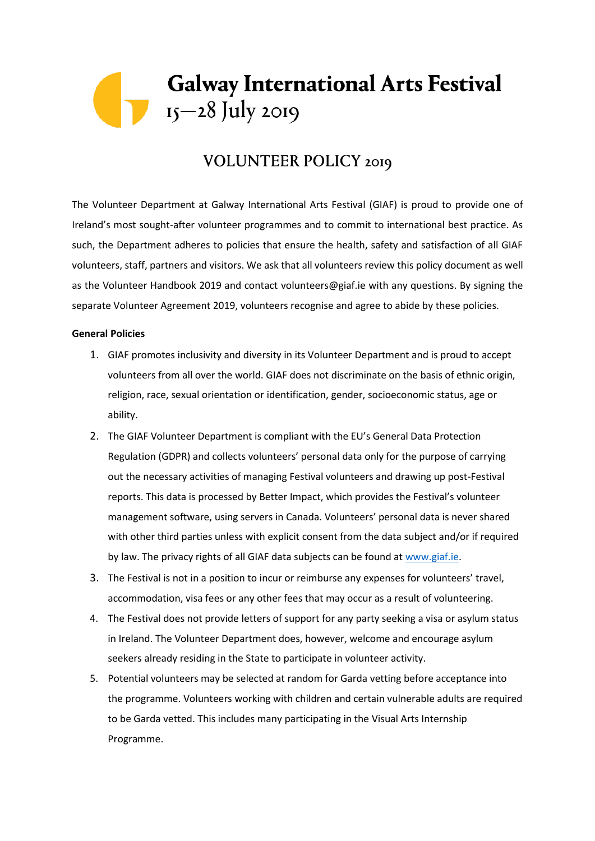## Galway International Arts Festival

## **VOLUNTEER POLICY 2019**

The Volunteer Department at Galway International Arts Festival (GIAF) is proud to provide one of Ireland's most sought-after volunteer programmes and to commit to international best practice. As such, the Department adheres to policies that ensure the health, safety and satisfaction of all GIAF volunteers, staff, partners and visitors. We ask that all volunteers review this policy document as well as the Volunteer Handbook 2019 and contact volunteers@giaf.ie with any questions. By signing the separate Volunteer Agreement 2019, volunteers recognise and agree to abide by these policies.

## **General Policies**

- 1. GIAF promotes inclusivity and diversity in its Volunteer Department and is proud to accept volunteers from all over the world. GIAF does not discriminate on the basis of ethnic origin, religion, race, sexual orientation or identification, gender, socioeconomic status, age or ability.
- 2. The GIAF Volunteer Department is compliant with the EU's General Data Protection Regulation (GDPR) and collects volunteers' personal data only for the purpose of carrying out the necessary activities of managing Festival volunteers and drawing up post-Festival reports. This data is processed by Better Impact, which provides the Festival's volunteer management software, using servers in Canada. Volunteers' personal data is never shared with other third parties unless with explicit consent from the data subject and/or if required by law. The privacy rights of all GIAF data subjects can be found a[t www.giaf.ie.](https://www.giaf.ie/)
- 3. The Festival is not in a position to incur or reimburse any expenses for volunteers' travel, accommodation, visa fees or any other fees that may occur as a result of volunteering.
- 4. The Festival does not provide letters of support for any party seeking a visa or asylum status in Ireland. The Volunteer Department does, however, welcome and encourage asylum seekers already residing in the State to participate in volunteer activity.
- 5. Potential volunteers may be selected at random for Garda vetting before acceptance into the programme. Volunteers working with children and certain vulnerable adults are required to be Garda vetted. This includes many participating in the Visual Arts Internship Programme.